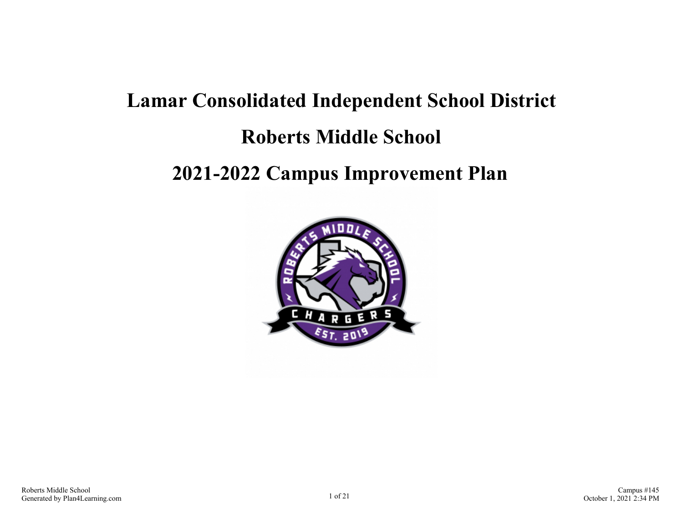# **Lamar Consolidated Independent School District Roberts Middle School**

# **2021-2022 Campus Improvement Plan**

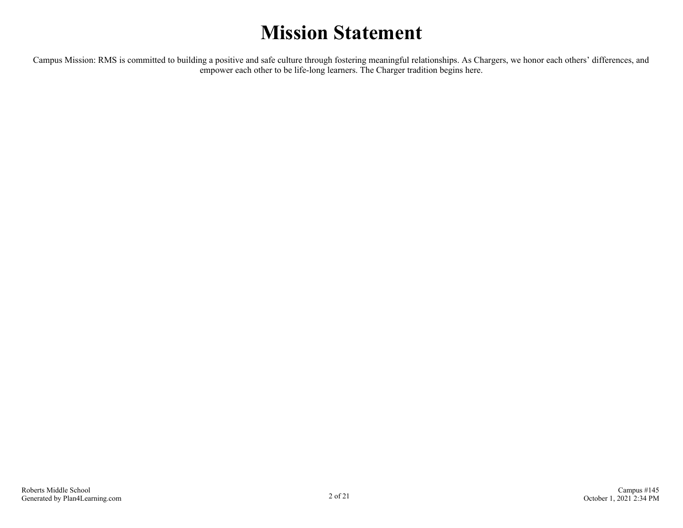# **Mission Statement**

Campus Mission: RMS is committed to building a positive and safe culture through fostering meaningful relationships. As Chargers, we honor each others' differences, and empower each other to be life-long learners. The Charger tradition begins here.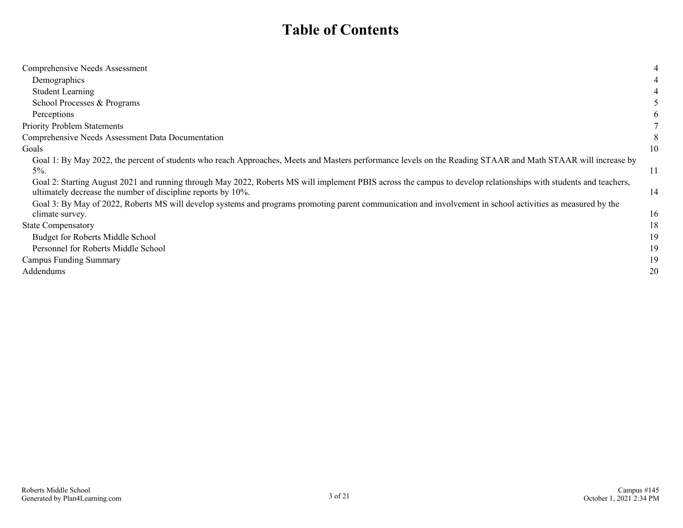### **Table of Contents**

| Comprehensive Needs Assessment                                                                                                                                                                                                   | 4            |
|----------------------------------------------------------------------------------------------------------------------------------------------------------------------------------------------------------------------------------|--------------|
| Demographics                                                                                                                                                                                                                     |              |
| <b>Student Learning</b>                                                                                                                                                                                                          |              |
| School Processes & Programs                                                                                                                                                                                                      |              |
| Perceptions                                                                                                                                                                                                                      | <sub>b</sub> |
| <b>Priority Problem Statements</b>                                                                                                                                                                                               |              |
| Comprehensive Needs Assessment Data Documentation                                                                                                                                                                                | 8            |
| Goals                                                                                                                                                                                                                            | 10           |
| Goal 1: By May 2022, the percent of students who reach Approaches, Meets and Masters performance levels on the Reading STAAR and Math STAAR will increase by                                                                     |              |
| $5%$ .                                                                                                                                                                                                                           | 11           |
| Goal 2: Starting August 2021 and running through May 2022, Roberts MS will implement PBIS across the campus to develop relationships with students and teachers,<br>ultimately decrease the number of discipline reports by 10%. | 14           |
| Goal 3: By May of 2022, Roberts MS will develop systems and programs promoting parent communication and involvement in school activities as measured by the                                                                      |              |
| climate survey.                                                                                                                                                                                                                  | 16           |
| <b>State Compensatory</b>                                                                                                                                                                                                        | 18           |
| <b>Budget for Roberts Middle School</b>                                                                                                                                                                                          | 19           |
| Personnel for Roberts Middle School                                                                                                                                                                                              | 19           |
| Campus Funding Summary                                                                                                                                                                                                           | 19           |
| Addendums                                                                                                                                                                                                                        | 20           |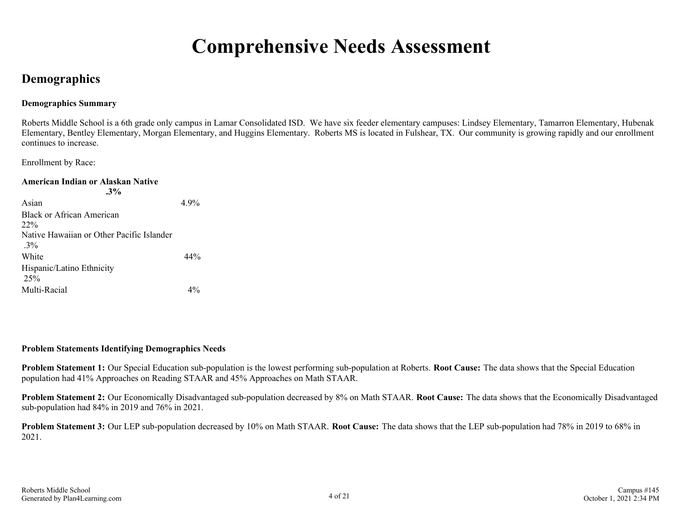## **Comprehensive Needs Assessment**

### <span id="page-3-0"></span>**Demographics**

#### **Demographics Summary**

Roberts Middle School is a 6th grade only campus in Lamar Consolidated ISD. We have six feeder elementary campuses: Lindsey Elementary, Tamarron Elementary, Hubenak Elementary, Bentley Elementary, Morgan Elementary, and Huggins Elementary. Roberts MS is located in Fulshear, TX. Our community is growing rapidly and our enrollment continues to increase.

Enrollment by Race:

| American Indian or Alaskan Native<br>$.3\%$        |      |
|----------------------------------------------------|------|
| Asian                                              | 4.9% |
| Black or African American                          |      |
| $22\%$                                             |      |
| Native Hawaiian or Other Pacific Islander<br>$3\%$ |      |
| White                                              | 44%  |
| Hispanic/Latino Ethnicity<br>25%                   |      |
| Multi-Racial                                       |      |

#### **Problem Statements Identifying Demographics Needs**

**Problem Statement 1:** Our Special Education sub-population is the lowest performing sub-population at Roberts. **Root Cause:** The data shows that the Special Education population had 41% Approaches on Reading STAAR and 45% Approaches on Math STAAR.

**Problem Statement 2:** Our Economically Disadvantaged sub-population decreased by 8% on Math STAAR. **Root Cause:** The data shows that the Economically Disadvantaged sub-population had 84% in 2019 and 76% in 2021.

**Problem Statement 3:** Our LEP sub-population decreased by 10% on Math STAAR. **Root Cause:** The data shows that the LEP sub-population had 78% in 2019 to 68% in 2021.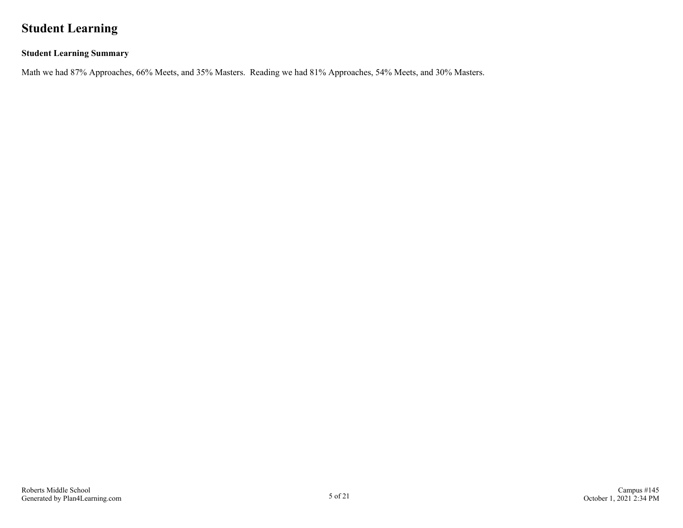### <span id="page-4-0"></span>**Student Learning**

#### **Student Learning Summary**

Math we had 87% Approaches, 66% Meets, and 35% Masters. Reading we had 81% Approaches, 54% Meets, and 30% Masters.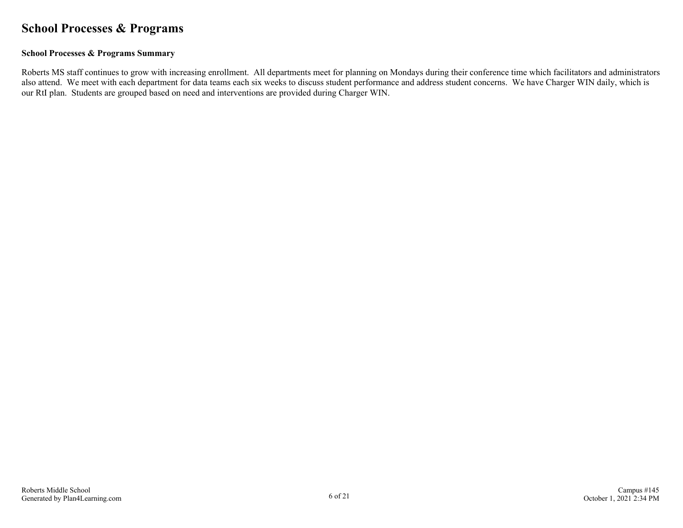### <span id="page-5-0"></span>**School Processes & Programs**

#### **School Processes & Programs Summary**

Roberts MS staff continues to grow with increasing enrollment. All departments meet for planning on Mondays during their conference time which facilitators and administrators also attend. We meet with each department for data teams each six weeks to discuss student performance and address student concerns. We have Charger WIN daily, which is our RtI plan. Students are grouped based on need and interventions are provided during Charger WIN.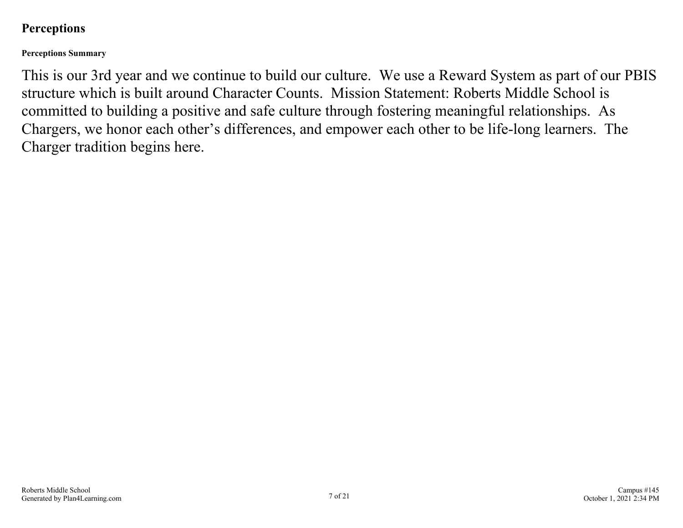### <span id="page-6-0"></span>**Perceptions**

**Perceptions Summary**

This is our 3rd year and we continue to build our culture. We use a Reward System as part of our PBIS structure which is built around Character Counts. Mission Statement: Roberts Middle School is committed to building a positive and safe culture through fostering meaningful relationships. As Chargers, we honor each other's differences, and empower each other to be life-long learners. The Charger tradition begins here.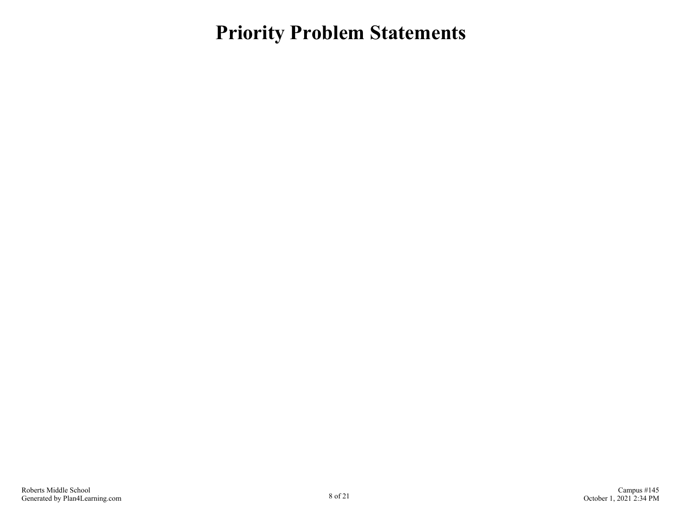<span id="page-7-0"></span>**Priority Problem Statements**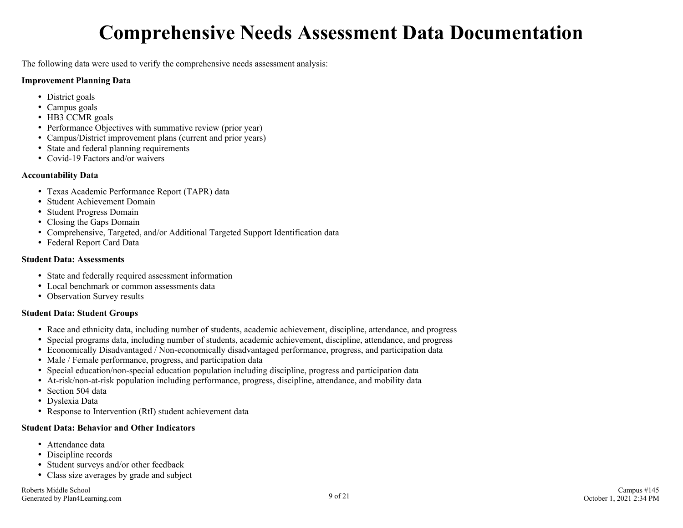# **Comprehensive Needs Assessment Data Documentation**

<span id="page-8-0"></span>The following data were used to verify the comprehensive needs assessment analysis:

#### **Improvement Planning Data**

- District goals
- Campus goals
- HB3 CCMR goals
- Performance Objectives with summative review (prior year)
- Campus/District improvement plans (current and prior years)
- State and federal planning requirements
- Covid-19 Factors and/or waivers

#### **Accountability Data**

- Texas Academic Performance Report (TAPR) data
- Student Achievement Domain
- Student Progress Domain
- Closing the Gaps Domain
- Comprehensive, Targeted, and/or Additional Targeted Support Identification data
- Federal Report Card Data

#### **Student Data: Assessments**

- State and federally required assessment information
- Local benchmark or common assessments data
- Observation Survey results

#### **Student Data: Student Groups**

- Race and ethnicity data, including number of students, academic achievement, discipline, attendance, and progress
- Special programs data, including number of students, academic achievement, discipline, attendance, and progress
- Economically Disadvantaged / Non-economically disadvantaged performance, progress, and participation data
- Male / Female performance, progress, and participation data
- Special education/non-special education population including discipline, progress and participation data
- At-risk/non-at-risk population including performance, progress, discipline, attendance, and mobility data
- Section 504 data
- Dyslexia Data
- Response to Intervention (RtI) student achievement data

#### **Student Data: Behavior and Other Indicators**

- Attendance data
- Discipline records
- Student surveys and/or other feedback
- Class size averages by grade and subject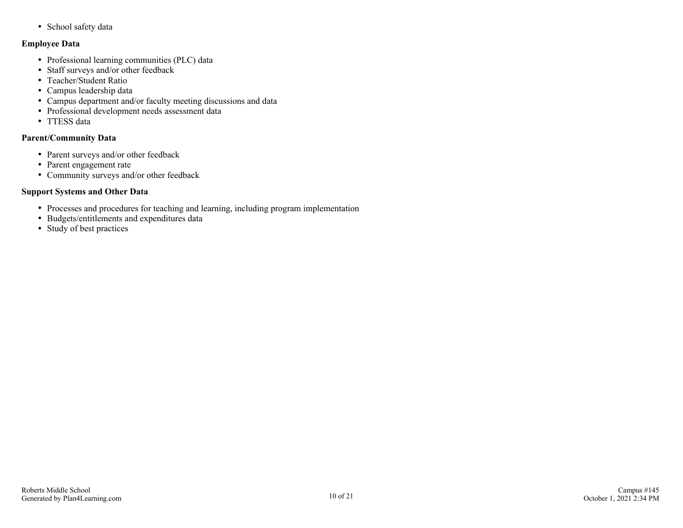• School safety data

#### **Employee Data**

- Professional learning communities (PLC) data
- Staff surveys and/or other feedback
- Teacher/Student Ratio
- Campus leadership data
- Campus department and/or faculty meeting discussions and data
- Professional development needs assessment data
- TTESS data

#### **Parent/Community Data**

- Parent surveys and/or other feedback
- Parent engagement rate
- Community surveys and/or other feedback

#### **Support Systems and Other Data**

- Processes and procedures for teaching and learning, including program implementation
- Budgets/entitlements and expenditures data
- Study of best practices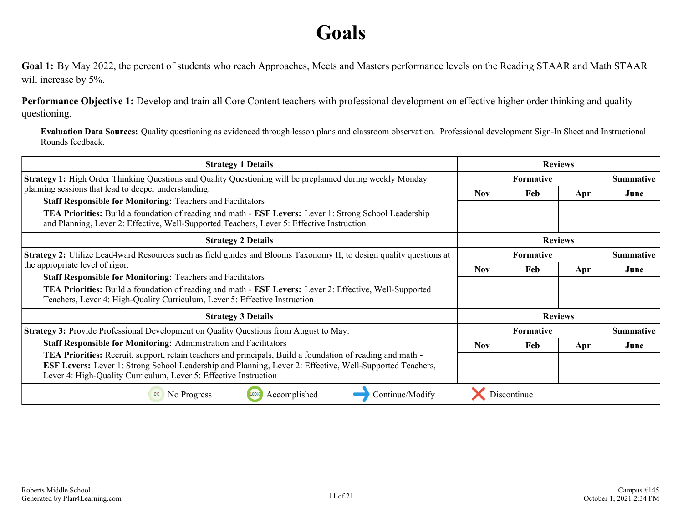# **Goals**

<span id="page-10-0"></span>**Goal 1:** By May 2022, the percent of students who reach Approaches, Meets and Masters performance levels on the Reading STAAR and Math STAAR will increase by 5%.

**Performance Objective 1:** Develop and train all Core Content teachers with professional development on effective higher order thinking and quality questioning.

**Evaluation Data Sources:** Quality questioning as evidenced through lesson plans and classroom observation. Professional development Sign-In Sheet and Instructional Rounds feedback.

| <b>Strategy 1 Details</b>                                                                                                                                                                                                                                                                                |            |                  | <b>Reviews</b> |                  |
|----------------------------------------------------------------------------------------------------------------------------------------------------------------------------------------------------------------------------------------------------------------------------------------------------------|------------|------------------|----------------|------------------|
| <b>Strategy 1:</b> High Order Thinking Questions and Quality Questioning will be preplanned during weekly Monday                                                                                                                                                                                         |            | <b>Formative</b> |                | <b>Summative</b> |
| planning sessions that lead to deeper understanding.                                                                                                                                                                                                                                                     | <b>Nov</b> | Feb              | Apr            | June             |
| <b>Staff Responsible for Monitoring: Teachers and Facilitators</b><br>TEA Priorities: Build a foundation of reading and math - ESF Levers: Lever 1: Strong School Leadership<br>and Planning, Lever 2: Effective, Well-Supported Teachers, Lever 5: Effective Instruction                                |            |                  |                |                  |
| <b>Strategy 2 Details</b>                                                                                                                                                                                                                                                                                |            |                  | <b>Reviews</b> |                  |
| <b>Strategy 2:</b> Utilize Lead4ward Resources such as field guides and Blooms Taxonomy II, to design quality questions at                                                                                                                                                                               |            | <b>Formative</b> |                | <b>Summative</b> |
| the appropriate level of rigor.                                                                                                                                                                                                                                                                          | <b>Nov</b> | Feb              | Apr            | June             |
| <b>Staff Responsible for Monitoring: Teachers and Facilitators</b><br><b>TEA Priorities:</b> Build a foundation of reading and math - <b>ESF Levers:</b> Lever 2: Effective, Well-Supported<br>Teachers, Lever 4: High-Quality Curriculum, Lever 5: Effective Instruction                                |            |                  |                |                  |
| <b>Strategy 3 Details</b>                                                                                                                                                                                                                                                                                |            |                  | <b>Reviews</b> |                  |
| <b>Strategy 3:</b> Provide Professional Development on Quality Questions from August to May.                                                                                                                                                                                                             |            | <b>Formative</b> |                | <b>Summative</b> |
| <b>Staff Responsible for Monitoring: Administration and Facilitators</b>                                                                                                                                                                                                                                 | <b>Nov</b> | Feb              | Apr            | June             |
| <b>TEA Priorities:</b> Recruit, support, retain teachers and principals, Build a foundation of reading and math -<br><b>ESF Levers:</b> Lever 1: Strong School Leadership and Planning, Lever 2: Effective, Well-Supported Teachers,<br>Lever 4: High-Quality Curriculum, Lever 5: Effective Instruction |            |                  |                |                  |
| Accomplished<br>100%<br>No Progress<br>Continue/Modify                                                                                                                                                                                                                                                   |            | Discontinue      |                |                  |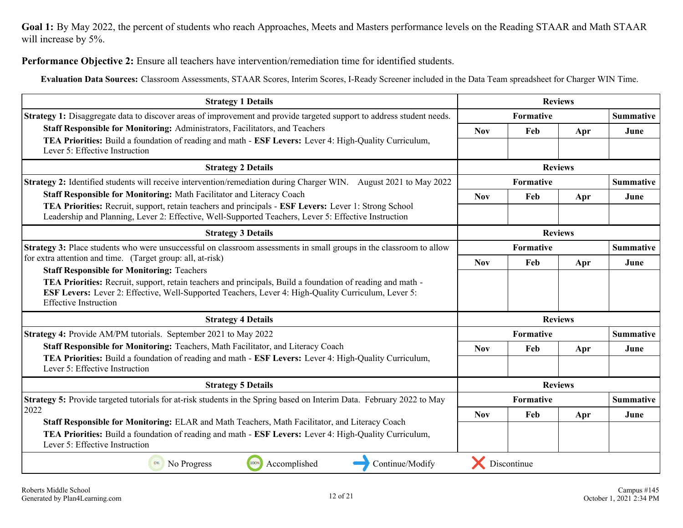**Goal 1:** By May 2022, the percent of students who reach Approaches, Meets and Masters performance levels on the Reading STAAR and Math STAAR will increase by 5%.

**Performance Objective 2:** Ensure all teachers have intervention/remediation time for identified students.

**Evaluation Data Sources:** Classroom Assessments, STAAR Scores, Interim Scores, I-Ready Screener included in the Data Team spreadsheet for Charger WIN Time.

| <b>Strategy 1 Details</b>                                                                                                                                                                                                                                                                                     |            |             | <b>Reviews</b> |                  |
|---------------------------------------------------------------------------------------------------------------------------------------------------------------------------------------------------------------------------------------------------------------------------------------------------------------|------------|-------------|----------------|------------------|
| <b>Strategy 1:</b> Disaggregate data to discover areas of improvement and provide targeted support to address student needs.                                                                                                                                                                                  |            | Formative   |                | <b>Summative</b> |
| Staff Responsible for Monitoring: Administrators, Facilitators, and Teachers                                                                                                                                                                                                                                  | <b>Nov</b> | Feb         | Apr            | June             |
| TEA Priorities: Build a foundation of reading and math - ESF Levers: Lever 4: High-Quality Curriculum,<br>Lever 5: Effective Instruction                                                                                                                                                                      |            |             |                |                  |
| <b>Strategy 2 Details</b>                                                                                                                                                                                                                                                                                     |            |             | <b>Reviews</b> |                  |
| <b>Strategy 2:</b> Identified students will receive intervention/remediation during Charger WIN. August 2021 to May 2022                                                                                                                                                                                      |            | Formative   |                | <b>Summative</b> |
| Staff Responsible for Monitoring: Math Facilitator and Literacy Coach                                                                                                                                                                                                                                         | <b>Nov</b> | Feb         | Apr            | June             |
| TEA Priorities: Recruit, support, retain teachers and principals - ESF Levers: Lever 1: Strong School<br>Leadership and Planning, Lever 2: Effective, Well-Supported Teachers, Lever 5: Effective Instruction                                                                                                 |            |             |                |                  |
| <b>Strategy 3 Details</b>                                                                                                                                                                                                                                                                                     |            |             | <b>Reviews</b> |                  |
| Strategy 3: Place students who were unsuccessful on classroom assessments in small groups in the classroom to allow                                                                                                                                                                                           |            | Formative   |                | <b>Summative</b> |
| for extra attention and time. (Target group: all, at-risk)                                                                                                                                                                                                                                                    |            | Feb         | Apr            | June             |
| <b>Staff Responsible for Monitoring: Teachers</b><br>TEA Priorities: Recruit, support, retain teachers and principals, Build a foundation of reading and math -<br><b>ESF Levers:</b> Lever 2: Effective, Well-Supported Teachers, Lever 4: High-Quality Curriculum, Lever 5:<br><b>Effective Instruction</b> |            |             |                |                  |
| <b>Strategy 4 Details</b>                                                                                                                                                                                                                                                                                     |            |             | <b>Reviews</b> |                  |
| Strategy 4: Provide AM/PM tutorials. September 2021 to May 2022                                                                                                                                                                                                                                               |            | Formative   |                | <b>Summative</b> |
| Staff Responsible for Monitoring: Teachers, Math Facilitator, and Literacy Coach                                                                                                                                                                                                                              | <b>Nov</b> | Feb         | Apr            | June             |
| TEA Priorities: Build a foundation of reading and math - ESF Levers: Lever 4: High-Quality Curriculum,<br>Lever 5: Effective Instruction                                                                                                                                                                      |            |             |                |                  |
| <b>Strategy 5 Details</b>                                                                                                                                                                                                                                                                                     |            |             | <b>Reviews</b> |                  |
| Strategy 5: Provide targeted tutorials for at-risk students in the Spring based on Interim Data. February 2022 to May                                                                                                                                                                                         |            | Formative   |                | <b>Summative</b> |
| 2022                                                                                                                                                                                                                                                                                                          | <b>Nov</b> | Feb         | Apr            | June             |
| Staff Responsible for Monitoring: ELAR and Math Teachers, Math Facilitator, and Literacy Coach<br>TEA Priorities: Build a foundation of reading and math - ESF Levers: Lever 4: High-Quality Curriculum,<br>Lever 5: Effective Instruction                                                                    |            |             |                |                  |
| Continue/Modify<br>100%<br>Accomplished<br>0%<br>No Progress                                                                                                                                                                                                                                                  |            | Discontinue |                |                  |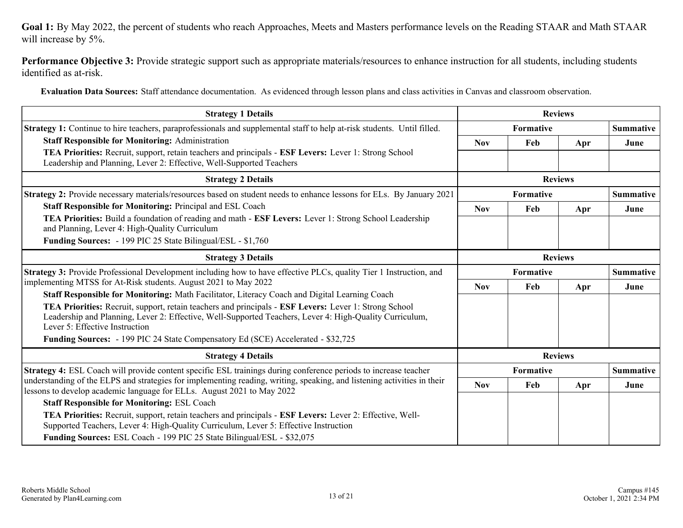**Goal 1:** By May 2022, the percent of students who reach Approaches, Meets and Masters performance levels on the Reading STAAR and Math STAAR will increase by 5%.

**Performance Objective 3:** Provide strategic support such as appropriate materials/resources to enhance instruction for all students, including students identified as at-risk.

**Evaluation Data Sources:** Staff attendance documentation. As evidenced through lesson plans and class activities in Canvas and classroom observation.

| <b>Strategy 1 Details</b>                                                                                                                                                                                                                                        |            |           | <b>Reviews</b> |                  |
|------------------------------------------------------------------------------------------------------------------------------------------------------------------------------------------------------------------------------------------------------------------|------------|-----------|----------------|------------------|
| <b>Strategy 1:</b> Continue to hire teachers, paraprofessionals and supplemental staff to help at-risk students. Until filled.                                                                                                                                   |            | Formative |                | <b>Summative</b> |
| <b>Staff Responsible for Monitoring: Administration</b>                                                                                                                                                                                                          | <b>Nov</b> | Feb       | Apr            | June             |
| <b>TEA Priorities:</b> Recruit, support, retain teachers and principals - <b>ESF Levers:</b> Lever 1: Strong School<br>Leadership and Planning, Lever 2: Effective, Well-Supported Teachers                                                                      |            |           |                |                  |
| <b>Strategy 2 Details</b>                                                                                                                                                                                                                                        |            |           | <b>Reviews</b> |                  |
| <b>Strategy 2:</b> Provide necessary materials/resources based on student needs to enhance lessons for ELs. By January 2021                                                                                                                                      |            | Formative |                | <b>Summative</b> |
| <b>Staff Responsible for Monitoring: Principal and ESL Coach</b>                                                                                                                                                                                                 | <b>Nov</b> | Feb       | Apr            | June             |
| TEA Priorities: Build a foundation of reading and math - ESF Levers: Lever 1: Strong School Leadership<br>and Planning, Lever 4: High-Quality Curriculum                                                                                                         |            |           |                |                  |
| <b>Funding Sources:</b> - 199 PIC 25 State Bilingual/ESL - \$1,760                                                                                                                                                                                               |            |           |                |                  |
| <b>Strategy 3 Details</b>                                                                                                                                                                                                                                        |            |           | <b>Reviews</b> |                  |
| Strategy 3: Provide Professional Development including how to have effective PLCs, quality Tier 1 Instruction, and                                                                                                                                               |            | Formative |                | <b>Summative</b> |
| implementing MTSS for At-Risk students. August 2021 to May 2022                                                                                                                                                                                                  | <b>Nov</b> | Feb       | Apr            | June             |
| Staff Responsible for Monitoring: Math Facilitator, Literacy Coach and Digital Learning Coach                                                                                                                                                                    |            |           |                |                  |
| <b>TEA Priorities:</b> Recruit, support, retain teachers and principals - <b>ESF Levers:</b> Lever 1: Strong School<br>Leadership and Planning, Lever 2: Effective, Well-Supported Teachers, Lever 4: High-Quality Curriculum,<br>Lever 5: Effective Instruction |            |           |                |                  |
| Funding Sources: - 199 PIC 24 State Compensatory Ed (SCE) Accelerated - \$32,725                                                                                                                                                                                 |            |           |                |                  |
| <b>Strategy 4 Details</b>                                                                                                                                                                                                                                        |            |           | <b>Reviews</b> |                  |
| Strategy 4: ESL Coach will provide content specific ESL trainings during conference periods to increase teacher                                                                                                                                                  |            | Formative |                | <b>Summative</b> |
| understanding of the ELPS and strategies for implementing reading, writing, speaking, and listening activities in their<br>lessons to develop academic language for ELLs. August 2021 to May 2022                                                                | <b>Nov</b> | Feb       | Apr            | June             |
| <b>Staff Responsible for Monitoring: ESL Coach</b>                                                                                                                                                                                                               |            |           |                |                  |
| TEA Priorities: Recruit, support, retain teachers and principals - ESF Levers: Lever 2: Effective, Well-<br>Supported Teachers, Lever 4: High-Quality Curriculum, Lever 5: Effective Instruction                                                                 |            |           |                |                  |
| Funding Sources: ESL Coach - 199 PIC 25 State Bilingual/ESL - \$32,075                                                                                                                                                                                           |            |           |                |                  |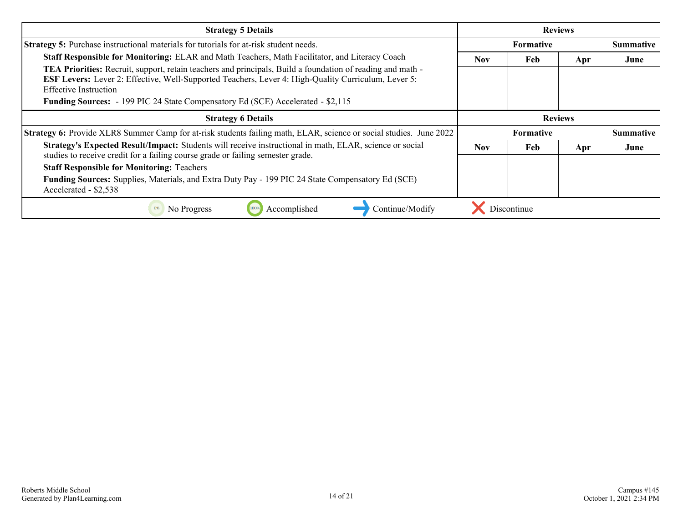| <b>Strategy 5 Details</b>                                                                                                                                                                                                                                       |            |                  | <b>Reviews</b> |                  |
|-----------------------------------------------------------------------------------------------------------------------------------------------------------------------------------------------------------------------------------------------------------------|------------|------------------|----------------|------------------|
| <b>Strategy 5:</b> Purchase instructional materials for tutorials for at-risk student needs.                                                                                                                                                                    |            | <b>Formative</b> |                | <b>Summative</b> |
| Staff Responsible for Monitoring: ELAR and Math Teachers, Math Facilitator, and Literacy Coach                                                                                                                                                                  | Nov.       | Feb              | Apr            | June             |
| <b>TEA Priorities:</b> Recruit, support, retain teachers and principals, Build a foundation of reading and math -<br><b>ESF Levers:</b> Lever 2: Effective, Well-Supported Teachers, Lever 4: High-Quality Curriculum, Lever 5:<br><b>Effective Instruction</b> |            |                  |                |                  |
| <b>Funding Sources:</b> - 199 PIC 24 State Compensatory Ed (SCE) Accelerated - \$2,115                                                                                                                                                                          |            |                  |                |                  |
| <b>Strategy 6 Details</b>                                                                                                                                                                                                                                       |            |                  | <b>Reviews</b> |                  |
| <b>Strategy 6:</b> Provide XLR8 Summer Camp for at-risk students failing math, ELAR, science or social studies. June 2022                                                                                                                                       |            | Formative        |                | <b>Summative</b> |
| Strategy's Expected Result/Impact: Students will receive instructional in math, ELAR, science or social<br>studies to receive credit for a failing course grade or failing semester grade.                                                                      | <b>Nov</b> | Feb              | Apr            | June             |
| <b>Staff Responsible for Monitoring: Teachers</b>                                                                                                                                                                                                               |            |                  |                |                  |
| <b>Funding Sources:</b> Supplies, Materials, and Extra Duty Pay - 199 PIC 24 State Compensatory Ed (SCE)<br>Accelerated - \$2,538                                                                                                                               |            |                  |                |                  |
| No Progress<br>Continue/Modify<br>Accomplished                                                                                                                                                                                                                  |            | Discontinue      |                |                  |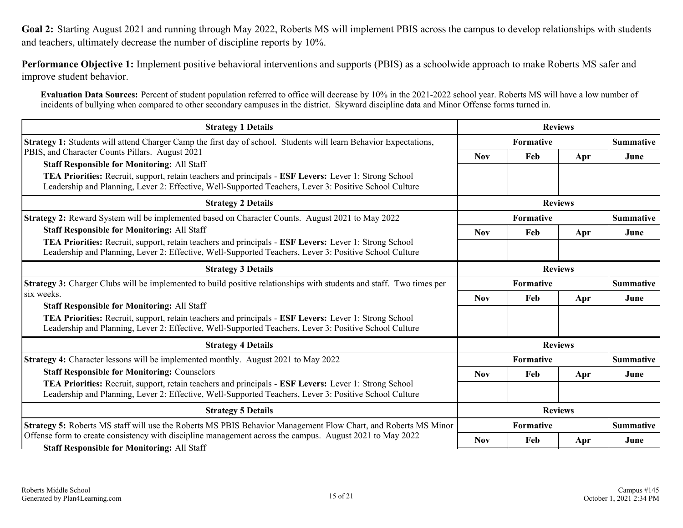<span id="page-14-0"></span>**Goal 2:** Starting August 2021 and running through May 2022, Roberts MS will implement PBIS across the campus to develop relationships with students and teachers, ultimately decrease the number of discipline reports by 10%.

**Performance Objective 1:** Implement positive behavioral interventions and supports (PBIS) as a schoolwide approach to make Roberts MS safer and improve student behavior.

**Evaluation Data Sources:** Percent of student population referred to office will decrease by 10% in the 2021-2022 school year. Roberts MS will have a low number of incidents of bullying when compared to other secondary campuses in the district. Skyward discipline data and Minor Offense forms turned in.

| <b>Strategy 1 Details</b>                                                                                                                                                                                                     |            |           | <b>Reviews</b> |                  |
|-------------------------------------------------------------------------------------------------------------------------------------------------------------------------------------------------------------------------------|------------|-----------|----------------|------------------|
| Strategy 1: Students will attend Charger Camp the first day of school. Students will learn Behavior Expectations,                                                                                                             |            | Formative |                | <b>Summative</b> |
| PBIS, and Character Counts Pillars. August 2021                                                                                                                                                                               | <b>Nov</b> | Feb       | Apr            | June             |
| <b>Staff Responsible for Monitoring: All Staff</b>                                                                                                                                                                            |            |           |                |                  |
| <b>TEA Priorities:</b> Recruit, support, retain teachers and principals - <b>ESF Levers:</b> Lever 1: Strong School<br>Leadership and Planning, Lever 2: Effective, Well-Supported Teachers, Lever 3: Positive School Culture |            |           |                |                  |
| <b>Strategy 2 Details</b>                                                                                                                                                                                                     |            |           | <b>Reviews</b> |                  |
| <b>Strategy 2:</b> Reward System will be implemented based on Character Counts. August 2021 to May 2022                                                                                                                       |            | Formative |                | <b>Summative</b> |
| <b>Staff Responsible for Monitoring: All Staff</b>                                                                                                                                                                            | <b>Nov</b> | Feb       | Apr            | June             |
| TEA Priorities: Recruit, support, retain teachers and principals - ESF Levers: Lever 1: Strong School<br>Leadership and Planning, Lever 2: Effective, Well-Supported Teachers, Lever 3: Positive School Culture               |            |           |                |                  |
| <b>Strategy 3 Details</b>                                                                                                                                                                                                     |            |           | <b>Reviews</b> |                  |
| <b>Strategy 3:</b> Charger Clubs will be implemented to build positive relationships with students and staff. Two times per                                                                                                   |            | Formative |                | <b>Summative</b> |
| six weeks.                                                                                                                                                                                                                    | <b>Nov</b> | Feb       | Apr            | June             |
| <b>Staff Responsible for Monitoring: All Staff</b>                                                                                                                                                                            |            |           |                |                  |
| TEA Priorities: Recruit, support, retain teachers and principals - ESF Levers: Lever 1: Strong School<br>Leadership and Planning, Lever 2: Effective, Well-Supported Teachers, Lever 3: Positive School Culture               |            |           |                |                  |
| <b>Strategy 4 Details</b>                                                                                                                                                                                                     |            |           | <b>Reviews</b> |                  |
| <b>Strategy 4:</b> Character lessons will be implemented monthly. August 2021 to May 2022                                                                                                                                     |            | Formative |                | <b>Summative</b> |
| <b>Staff Responsible for Monitoring: Counselors</b>                                                                                                                                                                           | <b>Nov</b> | Feb       | Apr            | June             |
| TEA Priorities: Recruit, support, retain teachers and principals - ESF Levers: Lever 1: Strong School<br>Leadership and Planning, Lever 2: Effective, Well-Supported Teachers, Lever 3: Positive School Culture               |            |           |                |                  |
| <b>Strategy 5 Details</b>                                                                                                                                                                                                     |            |           | <b>Reviews</b> |                  |
| Strategy 5: Roberts MS staff will use the Roberts MS PBIS Behavior Management Flow Chart, and Roberts MS Minor                                                                                                                |            | Formative |                | <b>Summative</b> |
| Offense form to create consistency with discipline management across the campus. August 2021 to May 2022                                                                                                                      | <b>Nov</b> | Feb       | Apr            | June             |
| <b>Staff Responsible for Monitoring: All Staff</b>                                                                                                                                                                            |            |           |                |                  |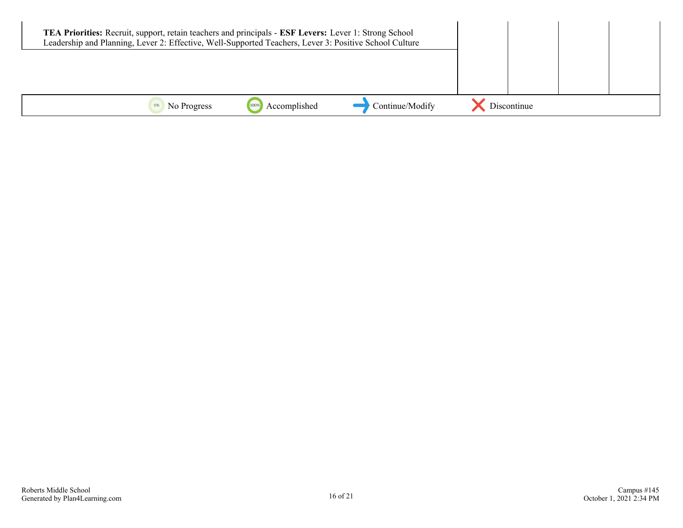|             | TEA Priorities: Recruit, support, retain teachers and principals - ESF Levers: Lever 1: Strong School<br>Leadership and Planning, Lever 2: Effective, Well-Supported Teachers, Lever 3: Positive School Culture |                 |             |  |
|-------------|-----------------------------------------------------------------------------------------------------------------------------------------------------------------------------------------------------------------|-----------------|-------------|--|
|             |                                                                                                                                                                                                                 |                 |             |  |
|             |                                                                                                                                                                                                                 |                 |             |  |
| No Progress | Accomplished                                                                                                                                                                                                    | Continue/Modify | Discontinue |  |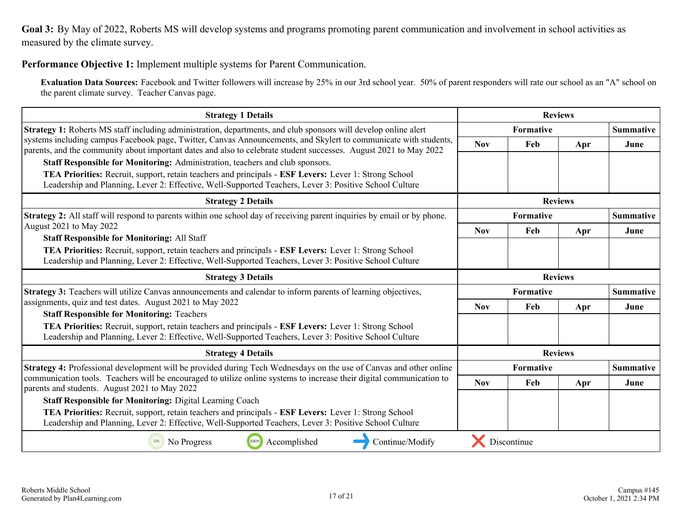<span id="page-16-0"></span>**Goal 3:** By May of 2022, Roberts MS will develop systems and programs promoting parent communication and involvement in school activities as measured by the climate survey.

**Performance Objective 1:** Implement multiple systems for Parent Communication.

**Evaluation Data Sources:** Facebook and Twitter followers will increase by 25% in our 3rd school year. 50% of parent responders will rate our school as an "A" school on the parent climate survey. Teacher Canvas page.

| <b>Strategy 1 Details</b>                                                                                                                                                                                                                                                           |            |             | <b>Reviews</b> |                  |
|-------------------------------------------------------------------------------------------------------------------------------------------------------------------------------------------------------------------------------------------------------------------------------------|------------|-------------|----------------|------------------|
| <b>Strategy 1:</b> Roberts MS staff including administration, departments, and club sponsors will develop online alert                                                                                                                                                              |            | Formative   |                | <b>Summative</b> |
| systems including campus Facebook page, Twitter, Canvas Announcements, and Skylert to communicate with students,<br>parents, and the community about important dates and also to celebrate student successes. August 2021 to May 2022                                               | <b>Nov</b> | Feb         | Apr            | June             |
| Staff Responsible for Monitoring: Administration, teachers and club sponsors.                                                                                                                                                                                                       |            |             |                |                  |
| TEA Priorities: Recruit, support, retain teachers and principals - ESF Levers: Lever 1: Strong School<br>Leadership and Planning, Lever 2: Effective, Well-Supported Teachers, Lever 3: Positive School Culture                                                                     |            |             |                |                  |
| <b>Strategy 2 Details</b>                                                                                                                                                                                                                                                           |            |             | <b>Reviews</b> |                  |
| <b>Strategy 2:</b> All staff will respond to parents within one school day of receiving parent inquiries by email or by phone.                                                                                                                                                      |            | Formative   |                | <b>Summative</b> |
| August 2021 to May 2022                                                                                                                                                                                                                                                             | <b>Nov</b> | Feb         | Apr            | June             |
| <b>Staff Responsible for Monitoring: All Staff</b><br><b>TEA Priorities:</b> Recruit, support, retain teachers and principals - <b>ESF Levers:</b> Lever 1: Strong School<br>Leadership and Planning, Lever 2: Effective, Well-Supported Teachers, Lever 3: Positive School Culture |            |             |                |                  |
| <b>Strategy 3 Details</b>                                                                                                                                                                                                                                                           |            |             | <b>Reviews</b> |                  |
| <b>Strategy 3:</b> Teachers will utilize Canvas announcements and calendar to inform parents of learning objectives,                                                                                                                                                                |            | Formative   |                | <b>Summative</b> |
| assignments, quiz and test dates. August 2021 to May 2022                                                                                                                                                                                                                           | <b>Nov</b> | Feb         | Apr            | June             |
| <b>Staff Responsible for Monitoring: Teachers</b>                                                                                                                                                                                                                                   |            |             |                |                  |
| TEA Priorities: Recruit, support, retain teachers and principals - ESF Levers: Lever 1: Strong School<br>Leadership and Planning, Lever 2: Effective, Well-Supported Teachers, Lever 3: Positive School Culture                                                                     |            |             |                |                  |
| <b>Strategy 4 Details</b>                                                                                                                                                                                                                                                           |            |             | <b>Reviews</b> |                  |
| <b>Strategy 4:</b> Professional development will be provided during Tech Wednesdays on the use of Canvas and other online                                                                                                                                                           |            | Formative   |                | <b>Summative</b> |
| communication tools. Teachers will be encouraged to utilize online systems to increase their digital communication to<br>parents and students. August 2021 to May 2022                                                                                                              | <b>Nov</b> | Feb         | Apr            | June             |
| <b>Staff Responsible for Monitoring: Digital Learning Coach</b>                                                                                                                                                                                                                     |            |             |                |                  |
| <b>TEA Priorities:</b> Recruit, support, retain teachers and principals - <b>ESF Levers:</b> Lever 1: Strong School<br>Leadership and Planning, Lever 2: Effective, Well-Supported Teachers, Lever 3: Positive School Culture                                                       |            |             |                |                  |
| Accomplished<br>Continue/Modify<br>No Progress<br>100%                                                                                                                                                                                                                              |            | Discontinue |                |                  |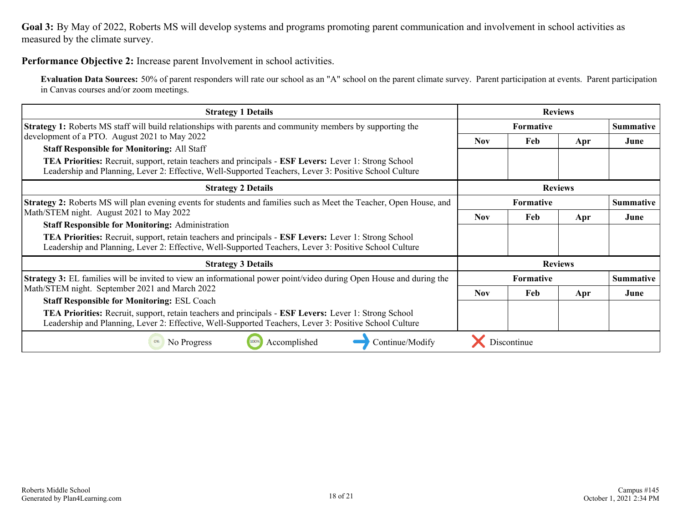**Goal 3:** By May of 2022, Roberts MS will develop systems and programs promoting parent communication and involvement in school activities as measured by the climate survey.

#### **Performance Objective 2:** Increase parent Involvement in school activities.

**Evaluation Data Sources:** 50% of parent responders will rate our school as an "A" school on the parent climate survey. Parent participation at events. Parent participation in Canvas courses and/or zoom meetings.

| <b>Strategy 1 Details</b>                                                                                                                                                                                                                                                                                                            |            |                  | <b>Reviews</b> |                  |
|--------------------------------------------------------------------------------------------------------------------------------------------------------------------------------------------------------------------------------------------------------------------------------------------------------------------------------------|------------|------------------|----------------|------------------|
| <b>Strategy 1:</b> Roberts MS staff will build relationships with parents and community members by supporting the                                                                                                                                                                                                                    |            | <b>Formative</b> |                | <b>Summative</b> |
| development of a PTO. August 2021 to May 2022<br><b>Staff Responsible for Monitoring: All Staff</b><br><b>TEA Priorities:</b> Recruit, support, retain teachers and principals - <b>ESF Levers:</b> Lever 1: Strong School<br>Leadership and Planning, Lever 2: Effective, Well-Supported Teachers, Lever 3: Positive School Culture | <b>Nov</b> | Feb              | Apr            | June             |
| <b>Strategy 2 Details</b>                                                                                                                                                                                                                                                                                                            |            |                  | <b>Reviews</b> |                  |
| <b>Strategy 2:</b> Roberts MS will plan evening events for students and families such as Meet the Teacher, Open House, and                                                                                                                                                                                                           |            | Formative        |                | <b>Summative</b> |
| Math/STEM night. August 2021 to May 2022                                                                                                                                                                                                                                                                                             | <b>Nov</b> | Feb              | Apr            | June             |
| <b>Staff Responsible for Monitoring: Administration</b><br><b>TEA Priorities:</b> Recruit, support, retain teachers and principals - <b>ESF Levers:</b> Lever 1: Strong School<br>Leadership and Planning, Lever 2: Effective, Well-Supported Teachers, Lever 3: Positive School Culture                                             |            |                  |                |                  |
| <b>Strategy 3 Details</b>                                                                                                                                                                                                                                                                                                            |            |                  | <b>Reviews</b> |                  |
| <b>Strategy 3:</b> EL families will be invited to view an informational power point/video during Open House and during the                                                                                                                                                                                                           |            | Formative        |                | <b>Summative</b> |
| Math/STEM night. September 2021 and March 2022                                                                                                                                                                                                                                                                                       | <b>Nov</b> | Feb              | Apr            | June             |
| <b>Staff Responsible for Monitoring: ESL Coach</b><br><b>TEA Priorities:</b> Recruit, support, retain teachers and principals - <b>ESF Levers:</b> Lever 1: Strong School<br>Leadership and Planning, Lever 2: Effective, Well-Supported Teachers, Lever 3: Positive School Culture                                                  |            |                  |                |                  |
| Accomplished<br>Continue/Modify<br>0%<br>No Progress<br>100%                                                                                                                                                                                                                                                                         |            | Discontinue      |                |                  |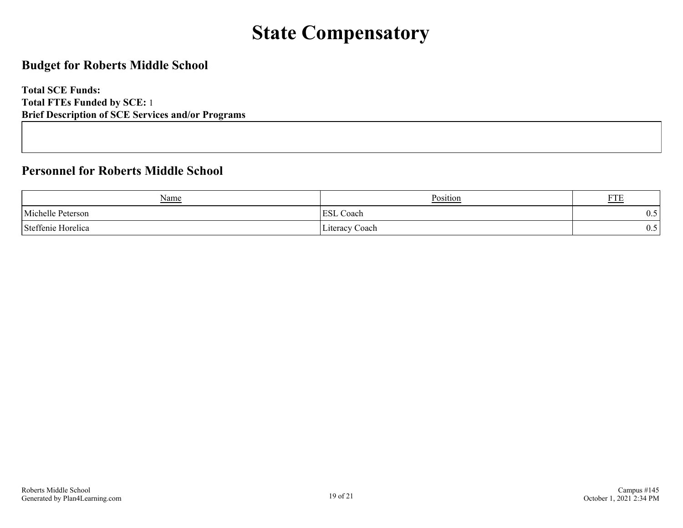# **State Compensatory**

### <span id="page-18-0"></span>**Budget for Roberts Middle School**

**Total SCE Funds: Total FTEs Funded by SCE:** 1 **Brief Description of SCE Services and/or Programs**

### **Personnel for Roberts Middle School**

| Name               | Position            | <b>DOD</b><br>F I E |
|--------------------|---------------------|---------------------|
| Michelle Peterson  | <b>ESL</b><br>Coach | ∪.∪                 |
| Steffenie Horelica | Literacy Coach      | ∪.∪                 |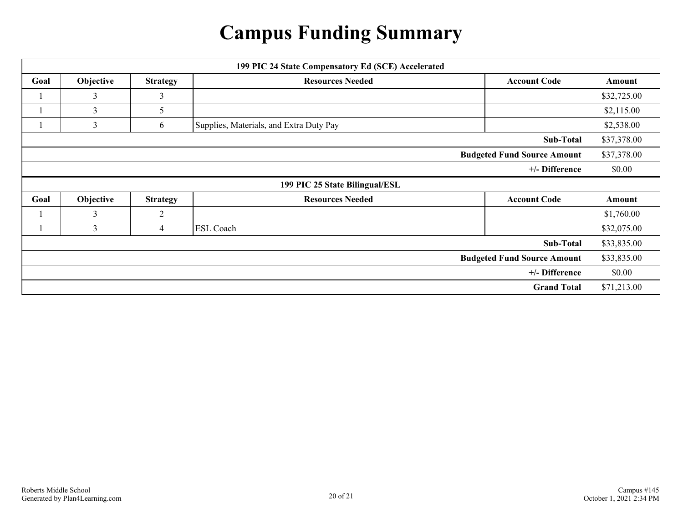# **Campus Funding Summary**

<span id="page-19-0"></span>

|      |           |                 | 199 PIC 24 State Compensatory Ed (SCE) Accelerated |                                    |             |
|------|-----------|-----------------|----------------------------------------------------|------------------------------------|-------------|
| Goal | Objective | <b>Strategy</b> | <b>Resources Needed</b>                            | <b>Account Code</b>                | Amount      |
|      | 3         | 3               |                                                    |                                    | \$32,725.00 |
|      | 3         | 5               |                                                    |                                    | \$2,115.00  |
|      | 3         | 6               | Supplies, Materials, and Extra Duty Pay            |                                    | \$2,538.00  |
|      |           |                 |                                                    | Sub-Total                          | \$37,378.00 |
|      |           |                 |                                                    | <b>Budgeted Fund Source Amount</b> | \$37,378.00 |
|      |           |                 |                                                    | +/- Difference                     | \$0.00      |
|      |           |                 |                                                    |                                    |             |
|      |           |                 | 199 PIC 25 State Bilingual/ESL                     |                                    |             |
| Goal | Objective | <b>Strategy</b> | <b>Resources Needed</b>                            | <b>Account Code</b>                | Amount      |
|      | 3         | $\overline{2}$  |                                                    |                                    | \$1,760.00  |
|      | 3         | 4               | <b>ESL Coach</b>                                   |                                    | \$32,075.00 |
|      |           |                 |                                                    | Sub-Total                          | \$33,835.00 |
|      |           |                 |                                                    | <b>Budgeted Fund Source Amount</b> | \$33,835.00 |
|      |           |                 |                                                    | +/- Difference                     | \$0.00      |